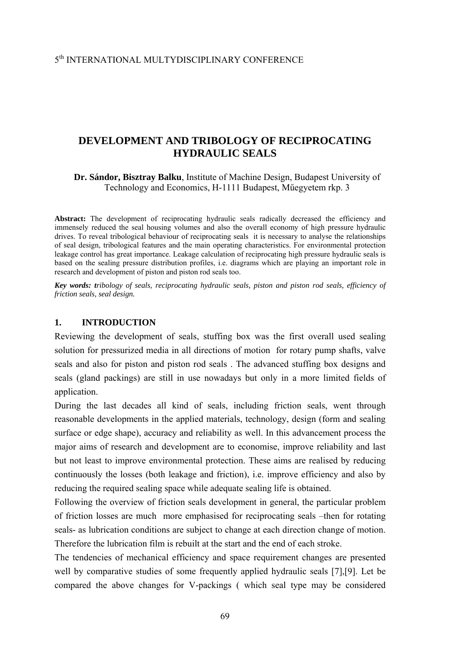## 5th INTERNATIONAL MULTYDISCIPLINARY CONFERENCE

# **DEVELOPMENT AND TRIBOLOGY OF RECIPROCATING HYDRAULIC SEALS**

**Dr. Sándor, Bisztray Balku**, Institute of Machine Design, Budapest University of Technology and Economics, H-1111 Budapest, Műegyetem rkp. 3

Abstract: The development of reciprocating hydraulic seals radically decreased the efficiency and immensely reduced the seal housing volumes and also the overall economy of high pressure hydraulic drives. To reveal tribological behaviour of reciprocating seals it is necessary to analyse the relationships of seal design, tribological features and the main operating characteristics. For environmental protection leakage control has great importance. Leakage calculation of reciprocating high pressure hydraulic seals is based on the sealing pressure distribution profiles, i.e. diagrams which are playing an important role in research and development of piston and piston rod seals too.

*Key words: tribology of seals, reciprocating hydraulic seals, piston and piston rod seals, efficiency of friction seals, seal design.* 

### **1. INTRODUCTION**

Reviewing the development of seals, stuffing box was the first overall used sealing solution for pressurized media in all directions of motion for rotary pump shafts, valve seals and also for piston and piston rod seals . The advanced stuffing box designs and seals (gland packings) are still in use nowadays but only in a more limited fields of application.

During the last decades all kind of seals, including friction seals, went through reasonable developments in the applied materials, technology, design (form and sealing surface or edge shape), accuracy and reliability as well. In this advancement process the major aims of research and development are to economise, improve reliability and last but not least to improve environmental protection. These aims are realised by reducing continuously the losses (both leakage and friction), i.e. improve efficiency and also by reducing the required sealing space while adequate sealing life is obtained.

Following the overview of friction seals development in general, the particular problem of friction losses are much more emphasised for reciprocating seals –then for rotating seals- as lubrication conditions are subject to change at each direction change of motion. Therefore the lubrication film is rebuilt at the start and the end of each stroke.

The tendencies of mechanical efficiency and space requirement changes are presented well by comparative studies of some frequently applied hydraulic seals [7],[9]. Let be compared the above changes for V-packings ( which seal type may be considered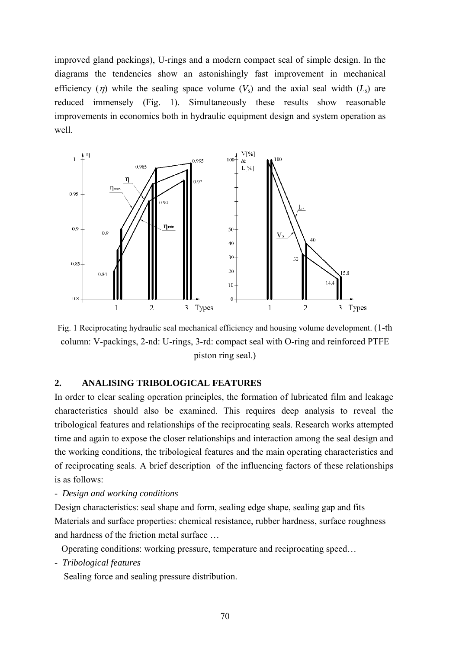improved gland packings), U-rings and a modern compact seal of simple design. In the diagrams the tendencies show an astonishingly fast improvement in mechanical efficiency (*η*) while the sealing space volume  $(V<sub>s</sub>)$  and the axial seal width  $(L<sub>s</sub>)$  are reduced immensely (Fig. 1). Simultaneously these results show reasonable improvements in economics both in hydraulic equipment design and system operation as well.



Fig. 1 Reciprocating hydraulic seal mechanical efficiency and housing volume development. (1-th column: V-packings, 2-nd: U-rings, 3-rd: compact seal with O-ring and reinforced PTFE piston ring seal.)

### **2. ANALISING TRIBOLOGICAL FEATURES**

In order to clear sealing operation principles, the formation of lubricated film and leakage characteristics should also be examined. This requires deep analysis to reveal the tribological features and relationships of the reciprocating seals. Research works attempted time and again to expose the closer relationships and interaction among the seal design and the working conditions, the tribological features and the main operating characteristics and of reciprocating seals. A brief description of the influencing factors of these relationships is as follows:

### *- Design and working conditions*

Design characteristics: seal shape and form, sealing edge shape, sealing gap and fits Materials and surface properties: chemical resistance, rubber hardness, surface roughness and hardness of the friction metal surface …

Operating conditions: working pressure, temperature and reciprocating speed…

*- Tribological features* 

Sealing force and sealing pressure distribution.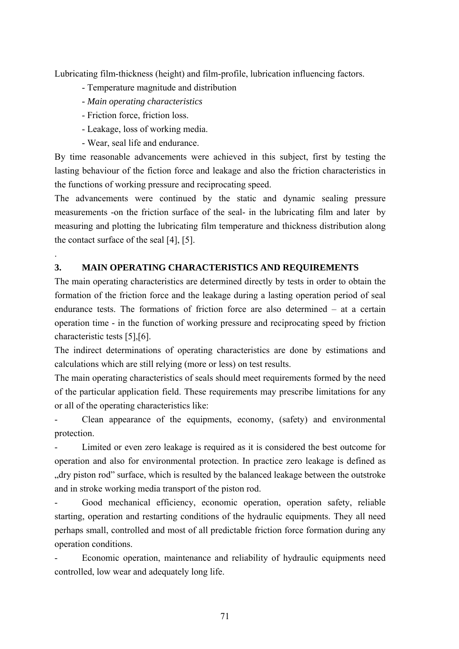Lubricating film-thickness (height) and film-profile, lubrication influencing factors.

- Temperature magnitude and distribution
- *Main operating characteristics*
- Friction force, friction loss.

.

- Leakage, loss of working media.
- Wear, seal life and endurance.

By time reasonable advancements were achieved in this subject, first by testing the lasting behaviour of the fiction force and leakage and also the friction characteristics in the functions of working pressure and reciprocating speed.

The advancements were continued by the static and dynamic sealing pressure measurements -on the friction surface of the seal- in the lubricating film and later by measuring and plotting the lubricating film temperature and thickness distribution along the contact surface of the seal [4], [5].

## **3. MAIN OPERATING CHARACTERISTICS AND REQUIREMENTS**

The main operating characteristics are determined directly by tests in order to obtain the formation of the friction force and the leakage during a lasting operation period of seal endurance tests. The formations of friction force are also determined – at a certain operation time - in the function of working pressure and reciprocating speed by friction characteristic tests [5],[6].

The indirect determinations of operating characteristics are done by estimations and calculations which are still relying (more or less) on test results.

The main operating characteristics of seals should meet requirements formed by the need of the particular application field. These requirements may prescribe limitations for any or all of the operating characteristics like:

- Clean appearance of the equipments, economy, (safety) and environmental protection.

Limited or even zero leakage is required as it is considered the best outcome for operation and also for environmental protection. In practice zero leakage is defined as ", dry piston rod" surface, which is resulted by the balanced leakage between the outstroke and in stroke working media transport of the piston rod.

Good mechanical efficiency, economic operation, operation safety, reliable starting, operation and restarting conditions of the hydraulic equipments. They all need perhaps small, controlled and most of all predictable friction force formation during any operation conditions.

Economic operation, maintenance and reliability of hydraulic equipments need controlled, low wear and adequately long life.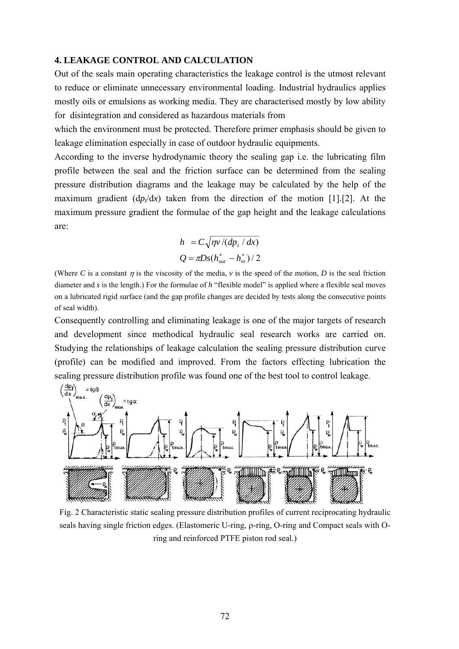## **4. LEAKAGE CONTROL AND CALCULATION**

Out of the seals main operating characteristics the leakage control is the utmost relevant to reduce or eliminate unnecessary environmental loading. Industrial hydraulics applies mostly oils or emulsions as working media. They are characterised mostly by low ability for disintegration and considered as hazardous materials from

which the environment must be protected. Therefore primer emphasis should be given to leakage elimination especially in case of outdoor hydraulic equipments.

According to the inverse hydrodynamic theory the sealing gap i.e. the lubricating film profile between the seal and the friction surface can be determined from the sealing pressure distribution diagrams and the leakage may be calculated by the help of the maximum gradient  $(dp/dx)$  taken from the direction of the motion [1].[2]. At the maximum pressure gradient the formulae of the gap height and the leakage calculations are:

$$
h = C \sqrt{\eta v / (dp_{t} / dx)}
$$
  
 
$$
Q = \pi Ds (h_{out}^{*} - h_{in}^{*}) / 2
$$

(Where *C* is a constant  $\eta$  is the viscosity of the media,  $\nu$  is the speed of the motion, *D* is the seal friction diameter and *s* is the length.) For the formulae of *h* "flexible model" is applied where a flexible seal moves on a lubricated rigid surface (and the gap profile changes are decided by tests along the consecutive points of seal width).

Consequently controlling and eliminating leakage is one of the major targets of research and development since methodical hydraulic seal research works are carried on. Studying the relationships of leakage calculation the sealing pressure distribution curve (profile) can be modified and improved. From the factors effecting lubrication the sealing pressure distribution profile was found one of the best tool to control leakage.



Fig. 2 Characteristic static sealing pressure distribution profiles of current reciprocating hydraulic seals having single friction edges. (Elastomeric U-ring, ρ-ring, O-ring and Compact seals with Oring and reinforced PTFE piston rod seal.)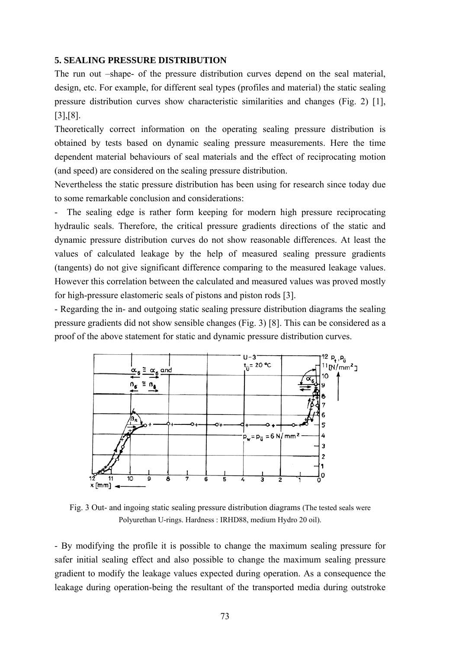### **5. SEALING PRESSURE DISTRIBUTION**

The run out –shape- of the pressure distribution curves depend on the seal material, design, etc. For example, for different seal types (profiles and material) the static sealing pressure distribution curves show characteristic similarities and changes (Fig. 2) [1], [3],[8].

Theoretically correct information on the operating sealing pressure distribution is obtained by tests based on dynamic sealing pressure measurements. Here the time dependent material behaviours of seal materials and the effect of reciprocating motion (and speed) are considered on the sealing pressure distribution.

Nevertheless the static pressure distribution has been using for research since today due to some remarkable conclusion and considerations:

The sealing edge is rather form keeping for modern high pressure reciprocating hydraulic seals. Therefore, the critical pressure gradients directions of the static and dynamic pressure distribution curves do not show reasonable differences. At least the values of calculated leakage by the help of measured sealing pressure gradients (tangents) do not give significant difference comparing to the measured leakage values. However this correlation between the calculated and measured values was proved mostly for high-pressure elastomeric seals of pistons and piston rods [3].

- Regarding the in- and outgoing static sealing pressure distribution diagrams the sealing pressure gradients did not show sensible changes (Fig. 3) [8]. This can be considered as a proof of the above statement for static and dynamic pressure distribution curves.



Fig. 3 Out- and ingoing static sealing pressure distribution diagrams (The tested seals were Polyurethan U-rings. Hardness : IRHD88, medium Hydro 20 oil).

- By modifying the profile it is possible to change the maximum sealing pressure for safer initial sealing effect and also possible to change the maximum sealing pressure gradient to modify the leakage values expected during operation. As a consequence the leakage during operation-being the resultant of the transported media during outstroke